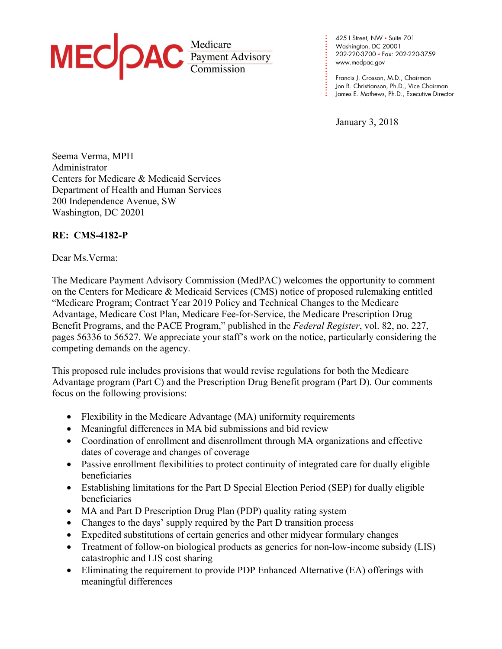

**. . . .**  Washington, DC 20001 **. . . .**  202-220-3700 • Fax: 202-220-3759 **. . .**  www.medpac.gov 425 I Street, NW • Suite 701

Francis J. Crosson, M.D., Chairman Jon B. Christianson, Ph.D., Vice Chairman James E. Mathews, Ph.D., Executive Director

January 3, 2018

**. .**

**. . . . . . . . . .**

Seema Verma, MPH Administrator Centers for Medicare & Medicaid Services Department of Health and Human Services 200 Independence Avenue, SW Washington, DC 20201

# **RE: CMS-4182-P**

#### Dear Ms.Verma:

The Medicare Payment Advisory Commission (MedPAC) welcomes the opportunity to comment on the Centers for Medicare & Medicaid Services (CMS) notice of proposed rulemaking entitled "Medicare Program; Contract Year 2019 Policy and Technical Changes to the Medicare Advantage, Medicare Cost Plan, Medicare Fee-for-Service, the Medicare Prescription Drug Benefit Programs, and the PACE Program," published in the *Federal Register*, vol. 82, no. 227, pages 56336 to 56527. We appreciate your staff's work on the notice, particularly considering the competing demands on the agency.

This proposed rule includes provisions that would revise regulations for both the Medicare Advantage program (Part C) and the Prescription Drug Benefit program (Part D). Our comments focus on the following provisions:

- Flexibility in the Medicare Advantage (MA) uniformity requirements
- Meaningful differences in MA bid submissions and bid review
- Coordination of enrollment and disenrollment through MA organizations and effective dates of coverage and changes of coverage
- Passive enrollment flexibilities to protect continuity of integrated care for dually eligible beneficiaries
- Establishing limitations for the Part D Special Election Period (SEP) for dually eligible beneficiaries
- MA and Part D Prescription Drug Plan (PDP) quality rating system
- Changes to the days' supply required by the Part D transition process
- Expedited substitutions of certain generics and other midyear formulary changes
- Treatment of follow-on biological products as generics for non-low-income subsidy (LIS) catastrophic and LIS cost sharing
- Eliminating the requirement to provide PDP Enhanced Alternative (EA) offerings with meaningful differences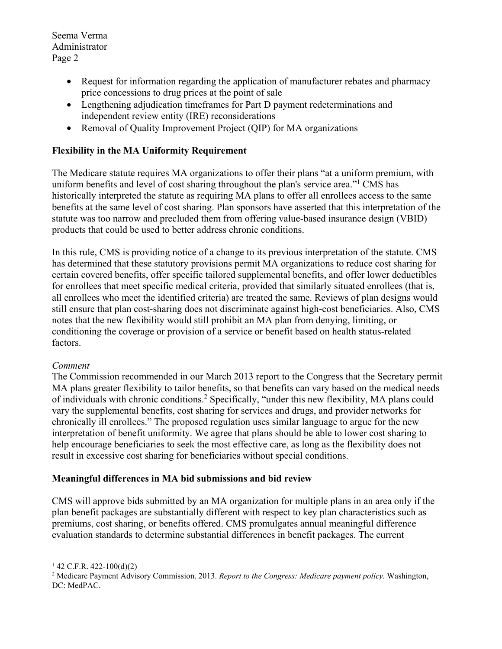- Request for information regarding the application of manufacturer rebates and pharmacy price concessions to drug prices at the point of sale
- Lengthening adjudication timeframes for Part D payment redeterminations and independent review entity (IRE) reconsiderations
- Removal of Quality Improvement Project (QIP) for MA organizations

# **Flexibility in the MA Uniformity Requirement**

The Medicare statute requires MA organizations to offer their plans "at a uniform premium, with uniform benefits and level of cost sharing throughout the plan's service area."<sup>1</sup> CMS has historically interpreted the statute as requiring MA plans to offer all enrollees access to the same benefits at the same level of cost sharing. Plan sponsors have asserted that this interpretation of the statute was too narrow and precluded them from offering value-based insurance design (VBID) products that could be used to better address chronic conditions.

In this rule, CMS is providing notice of a change to its previous interpretation of the statute. CMS has determined that these statutory provisions permit MA organizations to reduce cost sharing for certain covered benefits, offer specific tailored supplemental benefits, and offer lower deductibles for enrollees that meet specific medical criteria, provided that similarly situated enrollees (that is, all enrollees who meet the identified criteria) are treated the same. Reviews of plan designs would still ensure that plan cost-sharing does not discriminate against high-cost beneficiaries. Also, CMS notes that the new flexibility would still prohibit an MA plan from denying, limiting, or conditioning the coverage or provision of a service or benefit based on health status-related factors.

# *Comment*

The Commission recommended in our March 2013 report to the Congress that the Secretary permit MA plans greater flexibility to tailor benefits, so that benefits can vary based on the medical needs of individuals with chronic conditions.<sup>2</sup> Specifically, "under this new flexibility, MA plans could vary the supplemental benefits, cost sharing for services and drugs, and provider networks for chronically ill enrollees." The proposed regulation uses similar language to argue for the new interpretation of benefit uniformity. We agree that plans should be able to lower cost sharing to help encourage beneficiaries to seek the most effective care, as long as the flexibility does not result in excessive cost sharing for beneficiaries without special conditions.

# **Meaningful differences in MA bid submissions and bid review**

CMS will approve bids submitted by an MA organization for multiple plans in an area only if the plan benefit packages are substantially different with respect to key plan characteristics such as premiums, cost sharing, or benefits offered. CMS promulgates annual meaningful difference evaluation standards to determine substantial differences in benefit packages. The current

1

 $1$  42 C.F.R. 422-100(d)(2)

<sup>2</sup> Medicare Payment Advisory Commission. 2013. *Report to the Congress: Medicare payment policy.* Washington, DC: MedPAC.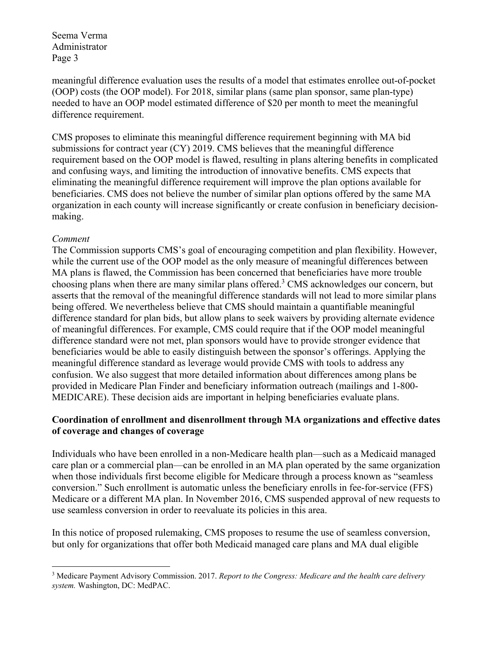meaningful difference evaluation uses the results of a model that estimates enrollee out-of-pocket (OOP) costs (the OOP model). For 2018, similar plans (same plan sponsor, same plan-type) needed to have an OOP model estimated difference of \$20 per month to meet the meaningful difference requirement.

CMS proposes to eliminate this meaningful difference requirement beginning with MA bid submissions for contract year (CY) 2019. CMS believes that the meaningful difference requirement based on the OOP model is flawed, resulting in plans altering benefits in complicated and confusing ways, and limiting the introduction of innovative benefits. CMS expects that eliminating the meaningful difference requirement will improve the plan options available for beneficiaries. CMS does not believe the number of similar plan options offered by the same MA organization in each county will increase significantly or create confusion in beneficiary decisionmaking.

#### *Comment*

1

The Commission supports CMS's goal of encouraging competition and plan flexibility. However, while the current use of the OOP model as the only measure of meaningful differences between MA plans is flawed, the Commission has been concerned that beneficiaries have more trouble choosing plans when there are many similar plans offered.<sup>3</sup> CMS acknowledges our concern, but asserts that the removal of the meaningful difference standards will not lead to more similar plans being offered. We nevertheless believe that CMS should maintain a quantifiable meaningful difference standard for plan bids, but allow plans to seek waivers by providing alternate evidence of meaningful differences. For example, CMS could require that if the OOP model meaningful difference standard were not met, plan sponsors would have to provide stronger evidence that beneficiaries would be able to easily distinguish between the sponsor's offerings. Applying the meaningful difference standard as leverage would provide CMS with tools to address any confusion. We also suggest that more detailed information about differences among plans be provided in Medicare Plan Finder and beneficiary information outreach (mailings and 1-800- MEDICARE). These decision aids are important in helping beneficiaries evaluate plans.

# **Coordination of enrollment and disenrollment through MA organizations and effective dates of coverage and changes of coverage**

Individuals who have been enrolled in a non-Medicare health plan—such as a Medicaid managed care plan or a commercial plan—can be enrolled in an MA plan operated by the same organization when those individuals first become eligible for Medicare through a process known as "seamless conversion." Such enrollment is automatic unless the beneficiary enrolls in fee-for-service (FFS) Medicare or a different MA plan. In November 2016, CMS suspended approval of new requests to use seamless conversion in order to reevaluate its policies in this area.

In this notice of proposed rulemaking, CMS proposes to resume the use of seamless conversion, but only for organizations that offer both Medicaid managed care plans and MA dual eligible

<sup>3</sup> Medicare Payment Advisory Commission. 2017. *Report to the Congress: Medicare and the health care delivery system.* Washington, DC: MedPAC.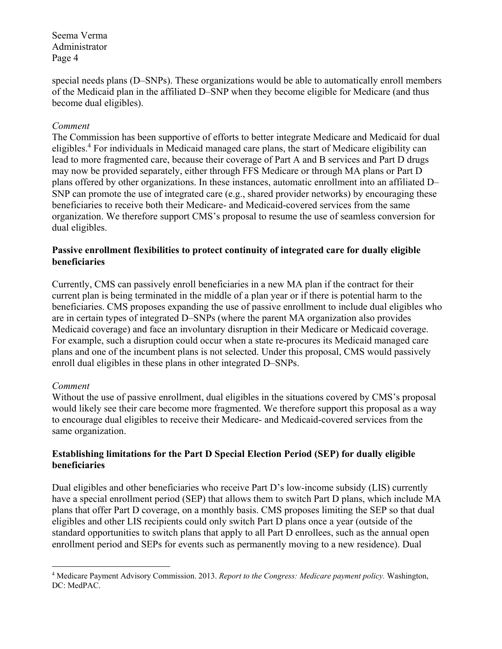special needs plans (D–SNPs). These organizations would be able to automatically enroll members of the Medicaid plan in the affiliated D–SNP when they become eligible for Medicare (and thus become dual eligibles).

#### *Comment*

The Commission has been supportive of efforts to better integrate Medicare and Medicaid for dual eligibles.<sup>4</sup> For individuals in Medicaid managed care plans, the start of Medicare eligibility can lead to more fragmented care, because their coverage of Part A and B services and Part D drugs may now be provided separately, either through FFS Medicare or through MA plans or Part D plans offered by other organizations. In these instances, automatic enrollment into an affiliated D– SNP can promote the use of integrated care (e.g., shared provider networks) by encouraging these beneficiaries to receive both their Medicare- and Medicaid-covered services from the same organization. We therefore support CMS's proposal to resume the use of seamless conversion for dual eligibles.

# **Passive enrollment flexibilities to protect continuity of integrated care for dually eligible beneficiaries**

Currently, CMS can passively enroll beneficiaries in a new MA plan if the contract for their current plan is being terminated in the middle of a plan year or if there is potential harm to the beneficiaries. CMS proposes expanding the use of passive enrollment to include dual eligibles who are in certain types of integrated D–SNPs (where the parent MA organization also provides Medicaid coverage) and face an involuntary disruption in their Medicare or Medicaid coverage. For example, such a disruption could occur when a state re-procures its Medicaid managed care plans and one of the incumbent plans is not selected. Under this proposal, CMS would passively enroll dual eligibles in these plans in other integrated D–SNPs.

# *Comment*

1

Without the use of passive enrollment, dual eligibles in the situations covered by CMS's proposal would likely see their care become more fragmented. We therefore support this proposal as a way to encourage dual eligibles to receive their Medicare- and Medicaid-covered services from the same organization.

# **Establishing limitations for the Part D Special Election Period (SEP) for dually eligible beneficiaries**

Dual eligibles and other beneficiaries who receive Part D's low-income subsidy (LIS) currently have a special enrollment period (SEP) that allows them to switch Part D plans, which include MA plans that offer Part D coverage, on a monthly basis. CMS proposes limiting the SEP so that dual eligibles and other LIS recipients could only switch Part D plans once a year (outside of the standard opportunities to switch plans that apply to all Part D enrollees, such as the annual open enrollment period and SEPs for events such as permanently moving to a new residence). Dual

<sup>4</sup> Medicare Payment Advisory Commission. 2013. *Report to the Congress: Medicare payment policy.* Washington, DC: MedPAC.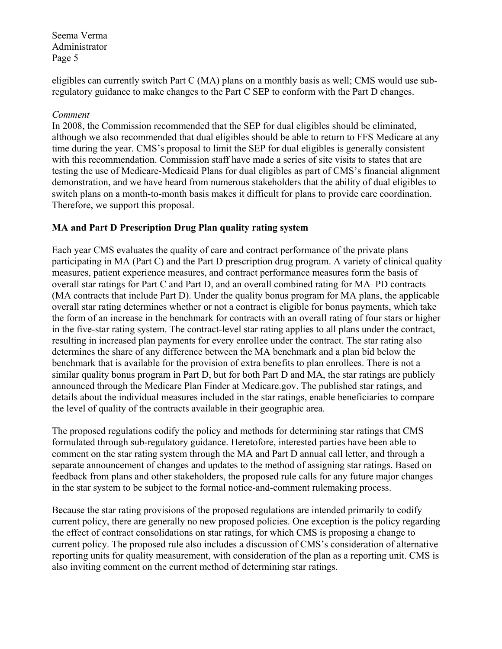eligibles can currently switch Part C (MA) plans on a monthly basis as well; CMS would use subregulatory guidance to make changes to the Part C SEP to conform with the Part D changes.

#### *Comment*

In 2008, the Commission recommended that the SEP for dual eligibles should be eliminated, although we also recommended that dual eligibles should be able to return to FFS Medicare at any time during the year. CMS's proposal to limit the SEP for dual eligibles is generally consistent with this recommendation. Commission staff have made a series of site visits to states that are testing the use of Medicare-Medicaid Plans for dual eligibles as part of CMS's financial alignment demonstration, and we have heard from numerous stakeholders that the ability of dual eligibles to switch plans on a month-to-month basis makes it difficult for plans to provide care coordination. Therefore, we support this proposal.

# **MA and Part D Prescription Drug Plan quality rating system**

Each year CMS evaluates the quality of care and contract performance of the private plans participating in MA (Part C) and the Part D prescription drug program. A variety of clinical quality measures, patient experience measures, and contract performance measures form the basis of overall star ratings for Part C and Part D, and an overall combined rating for MA–PD contracts (MA contracts that include Part D). Under the quality bonus program for MA plans, the applicable overall star rating determines whether or not a contract is eligible for bonus payments, which take the form of an increase in the benchmark for contracts with an overall rating of four stars or higher in the five-star rating system. The contract-level star rating applies to all plans under the contract, resulting in increased plan payments for every enrollee under the contract. The star rating also determines the share of any difference between the MA benchmark and a plan bid below the benchmark that is available for the provision of extra benefits to plan enrollees. There is not a similar quality bonus program in Part D, but for both Part D and MA, the star ratings are publicly announced through the Medicare Plan Finder at Medicare.gov. The published star ratings, and details about the individual measures included in the star ratings, enable beneficiaries to compare the level of quality of the contracts available in their geographic area.

The proposed regulations codify the policy and methods for determining star ratings that CMS formulated through sub-regulatory guidance. Heretofore, interested parties have been able to comment on the star rating system through the MA and Part D annual call letter, and through a separate announcement of changes and updates to the method of assigning star ratings. Based on feedback from plans and other stakeholders, the proposed rule calls for any future major changes in the star system to be subject to the formal notice-and-comment rulemaking process.

Because the star rating provisions of the proposed regulations are intended primarily to codify current policy, there are generally no new proposed policies. One exception is the policy regarding the effect of contract consolidations on star ratings, for which CMS is proposing a change to current policy. The proposed rule also includes a discussion of CMS's consideration of alternative reporting units for quality measurement, with consideration of the plan as a reporting unit. CMS is also inviting comment on the current method of determining star ratings.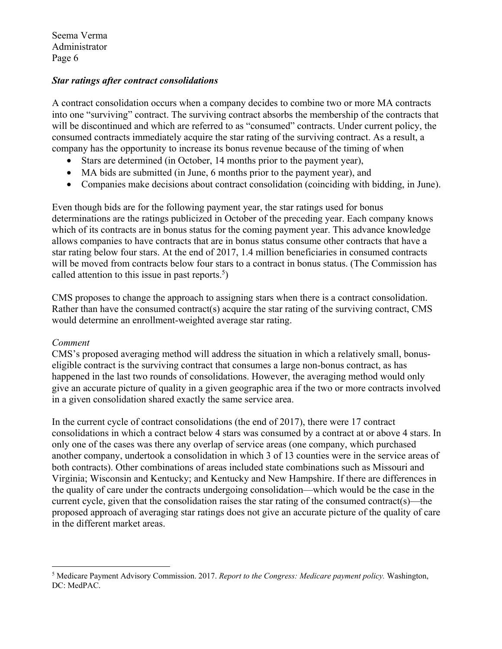#### *Star ratings after contract consolidations*

A contract consolidation occurs when a company decides to combine two or more MA contracts into one "surviving" contract. The surviving contract absorbs the membership of the contracts that will be discontinued and which are referred to as "consumed" contracts. Under current policy, the consumed contracts immediately acquire the star rating of the surviving contract. As a result, a company has the opportunity to increase its bonus revenue because of the timing of when

- Stars are determined (in October, 14 months prior to the payment year),
- MA bids are submitted (in June, 6 months prior to the payment year), and
- Companies make decisions about contract consolidation (coinciding with bidding, in June).

Even though bids are for the following payment year, the star ratings used for bonus determinations are the ratings publicized in October of the preceding year. Each company knows which of its contracts are in bonus status for the coming payment year. This advance knowledge allows companies to have contracts that are in bonus status consume other contracts that have a star rating below four stars. At the end of 2017, 1.4 million beneficiaries in consumed contracts will be moved from contracts below four stars to a contract in bonus status. (The Commission has called attention to this issue in past reports. $5$ )

CMS proposes to change the approach to assigning stars when there is a contract consolidation. Rather than have the consumed contract(s) acquire the star rating of the surviving contract, CMS would determine an enrollment-weighted average star rating.

#### *Comment*

1

CMS's proposed averaging method will address the situation in which a relatively small, bonuseligible contract is the surviving contract that consumes a large non-bonus contract, as has happened in the last two rounds of consolidations. However, the averaging method would only give an accurate picture of quality in a given geographic area if the two or more contracts involved in a given consolidation shared exactly the same service area.

In the current cycle of contract consolidations (the end of 2017), there were 17 contract consolidations in which a contract below 4 stars was consumed by a contract at or above 4 stars. In only one of the cases was there any overlap of service areas (one company, which purchased another company, undertook a consolidation in which 3 of 13 counties were in the service areas of both contracts). Other combinations of areas included state combinations such as Missouri and Virginia; Wisconsin and Kentucky; and Kentucky and New Hampshire. If there are differences in the quality of care under the contracts undergoing consolidation—which would be the case in the current cycle, given that the consolidation raises the star rating of the consumed contract(s)—the proposed approach of averaging star ratings does not give an accurate picture of the quality of care in the different market areas.

<sup>5</sup> Medicare Payment Advisory Commission. 2017. *Report to the Congress: Medicare payment policy.* Washington, DC: MedPAC.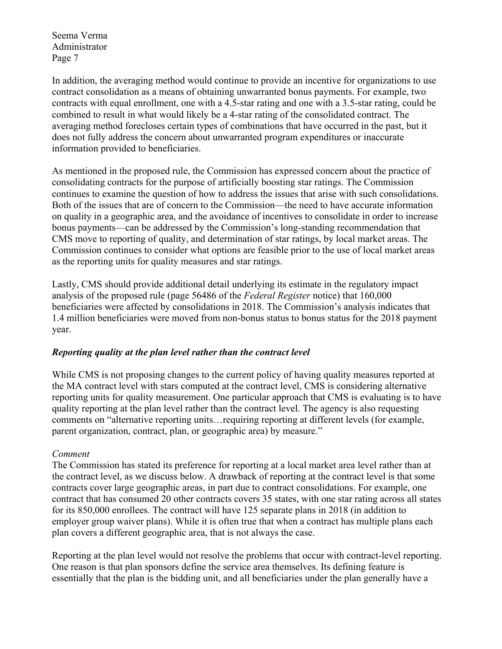In addition, the averaging method would continue to provide an incentive for organizations to use contract consolidation as a means of obtaining unwarranted bonus payments. For example, two contracts with equal enrollment, one with a 4.5-star rating and one with a 3.5-star rating, could be combined to result in what would likely be a 4-star rating of the consolidated contract. The averaging method forecloses certain types of combinations that have occurred in the past, but it does not fully address the concern about unwarranted program expenditures or inaccurate information provided to beneficiaries.

As mentioned in the proposed rule, the Commission has expressed concern about the practice of consolidating contracts for the purpose of artificially boosting star ratings. The Commission continues to examine the question of how to address the issues that arise with such consolidations. Both of the issues that are of concern to the Commission—the need to have accurate information on quality in a geographic area, and the avoidance of incentives to consolidate in order to increase bonus payments—can be addressed by the Commission's long-standing recommendation that CMS move to reporting of quality, and determination of star ratings, by local market areas. The Commission continues to consider what options are feasible prior to the use of local market areas as the reporting units for quality measures and star ratings.

Lastly, CMS should provide additional detail underlying its estimate in the regulatory impact analysis of the proposed rule (page 56486 of the *Federal Register* notice) that 160,000 beneficiaries were affected by consolidations in 2018. The Commission's analysis indicates that 1.4 million beneficiaries were moved from non-bonus status to bonus status for the 2018 payment year.

# *Reporting quality at the plan level rather than the contract level*

While CMS is not proposing changes to the current policy of having quality measures reported at the MA contract level with stars computed at the contract level, CMS is considering alternative reporting units for quality measurement. One particular approach that CMS is evaluating is to have quality reporting at the plan level rather than the contract level. The agency is also requesting comments on "alternative reporting units…requiring reporting at different levels (for example, parent organization, contract, plan, or geographic area) by measure."

# *Comment*

The Commission has stated its preference for reporting at a local market area level rather than at the contract level, as we discuss below. A drawback of reporting at the contract level is that some contracts cover large geographic areas, in part due to contract consolidations. For example, one contract that has consumed 20 other contracts covers 35 states, with one star rating across all states for its 850,000 enrollees. The contract will have 125 separate plans in 2018 (in addition to employer group waiver plans). While it is often true that when a contract has multiple plans each plan covers a different geographic area, that is not always the case.

Reporting at the plan level would not resolve the problems that occur with contract-level reporting. One reason is that plan sponsors define the service area themselves. Its defining feature is essentially that the plan is the bidding unit, and all beneficiaries under the plan generally have a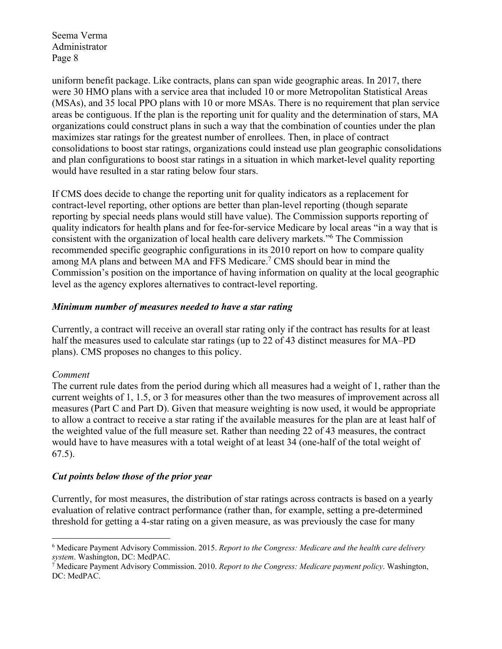uniform benefit package. Like contracts, plans can span wide geographic areas. In 2017, there were 30 HMO plans with a service area that included 10 or more Metropolitan Statistical Areas (MSAs), and 35 local PPO plans with 10 or more MSAs. There is no requirement that plan service areas be contiguous. If the plan is the reporting unit for quality and the determination of stars, MA organizations could construct plans in such a way that the combination of counties under the plan maximizes star ratings for the greatest number of enrollees. Then, in place of contract consolidations to boost star ratings, organizations could instead use plan geographic consolidations and plan configurations to boost star ratings in a situation in which market-level quality reporting would have resulted in a star rating below four stars.

If CMS does decide to change the reporting unit for quality indicators as a replacement for contract-level reporting, other options are better than plan-level reporting (though separate reporting by special needs plans would still have value). The Commission supports reporting of quality indicators for health plans and for fee-for-service Medicare by local areas "in a way that is consistent with the organization of local health care delivery markets."<sup>6</sup> The Commission recommended specific geographic configurations in its 2010 report on how to compare quality among MA plans and between MA and FFS Medicare.<sup>7</sup> CMS should bear in mind the Commission's position on the importance of having information on quality at the local geographic level as the agency explores alternatives to contract-level reporting.

#### *Minimum number of measures needed to have a star rating*

Currently, a contract will receive an overall star rating only if the contract has results for at least half the measures used to calculate star ratings (up to 22 of 43 distinct measures for MA–PD plans). CMS proposes no changes to this policy.

# *Comment*

1

The current rule dates from the period during which all measures had a weight of 1, rather than the current weights of 1, 1.5, or 3 for measures other than the two measures of improvement across all measures (Part C and Part D). Given that measure weighting is now used, it would be appropriate to allow a contract to receive a star rating if the available measures for the plan are at least half of the weighted value of the full measure set. Rather than needing 22 of 43 measures, the contract would have to have measures with a total weight of at least 34 (one-half of the total weight of 67.5).

# *Cut points below those of the prior year*

Currently, for most measures, the distribution of star ratings across contracts is based on a yearly evaluation of relative contract performance (rather than, for example, setting a pre-determined threshold for getting a 4-star rating on a given measure, as was previously the case for many

<sup>6</sup> Medicare Payment Advisory Commission. 2015. *Report to the Congress: Medicare and the health care delivery system*. Washington, DC: MedPAC. 7

Medicare Payment Advisory Commission. 2010. *Report to the Congress: Medicare payment policy*. Washington, DC: MedPAC.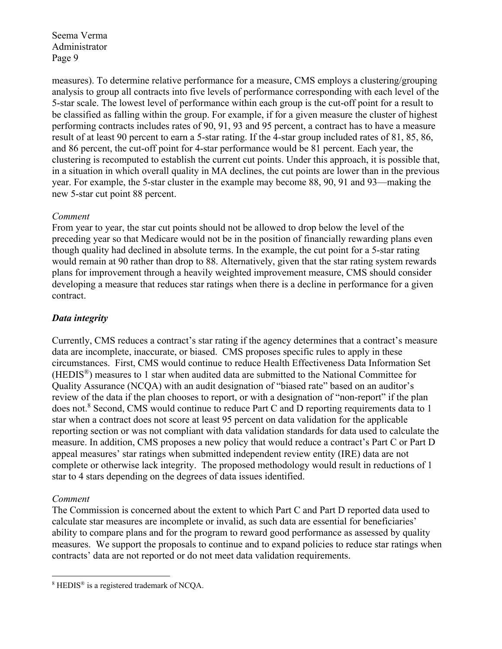measures). To determine relative performance for a measure, CMS employs a clustering/grouping analysis to group all contracts into five levels of performance corresponding with each level of the 5-star scale. The lowest level of performance within each group is the cut-off point for a result to be classified as falling within the group. For example, if for a given measure the cluster of highest performing contracts includes rates of 90, 91, 93 and 95 percent, a contract has to have a measure result of at least 90 percent to earn a 5-star rating. If the 4-star group included rates of 81, 85, 86, and 86 percent, the cut-off point for 4-star performance would be 81 percent. Each year, the clustering is recomputed to establish the current cut points. Under this approach, it is possible that, in a situation in which overall quality in MA declines, the cut points are lower than in the previous year. For example, the 5-star cluster in the example may become 88, 90, 91 and 93—making the new 5-star cut point 88 percent.

# *Comment*

From year to year, the star cut points should not be allowed to drop below the level of the preceding year so that Medicare would not be in the position of financially rewarding plans even though quality had declined in absolute terms. In the example, the cut point for a 5-star rating would remain at 90 rather than drop to 88. Alternatively, given that the star rating system rewards plans for improvement through a heavily weighted improvement measure, CMS should consider developing a measure that reduces star ratings when there is a decline in performance for a given contract.

# *Data integrity*

Currently, CMS reduces a contract's star rating if the agency determines that a contract's measure data are incomplete, inaccurate, or biased. CMS proposes specific rules to apply in these circumstances. First, CMS would continue to reduce Health Effectiveness Data Information Set (HEDIS®) measures to 1 star when audited data are submitted to the National Committee for Quality Assurance (NCQA) with an audit designation of "biased rate" based on an auditor's review of the data if the plan chooses to report, or with a designation of "non-report" if the plan does not.<sup>8</sup> Second, CMS would continue to reduce Part C and D reporting requirements data to 1 star when a contract does not score at least 95 percent on data validation for the applicable reporting section or was not compliant with data validation standards for data used to calculate the measure. In addition, CMS proposes a new policy that would reduce a contract's Part C or Part D appeal measures' star ratings when submitted independent review entity (IRE) data are not complete or otherwise lack integrity. The proposed methodology would result in reductions of 1 star to 4 stars depending on the degrees of data issues identified.

# *Comment*

The Commission is concerned about the extent to which Part C and Part D reported data used to calculate star measures are incomplete or invalid, as such data are essential for beneficiaries' ability to compare plans and for the program to reward good performance as assessed by quality measures. We support the proposals to continue and to expand policies to reduce star ratings when contracts' data are not reported or do not meet data validation requirements.

<sup>&</sup>lt;u>.</u> <sup>8</sup> HEDIS<sup>®</sup> is a registered trademark of NCQA.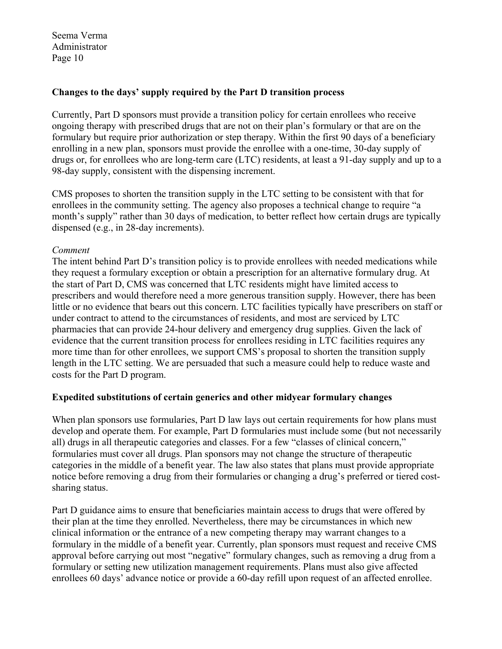#### **Changes to the days' supply required by the Part D transition process**

Currently, Part D sponsors must provide a transition policy for certain enrollees who receive ongoing therapy with prescribed drugs that are not on their plan's formulary or that are on the formulary but require prior authorization or step therapy. Within the first 90 days of a beneficiary enrolling in a new plan, sponsors must provide the enrollee with a one-time, 30-day supply of drugs or, for enrollees who are long-term care (LTC) residents, at least a 91-day supply and up to a 98-day supply, consistent with the dispensing increment.

CMS proposes to shorten the transition supply in the LTC setting to be consistent with that for enrollees in the community setting. The agency also proposes a technical change to require "a month's supply" rather than 30 days of medication, to better reflect how certain drugs are typically dispensed (e.g., in 28-day increments).

#### *Comment*

The intent behind Part D's transition policy is to provide enrollees with needed medications while they request a formulary exception or obtain a prescription for an alternative formulary drug. At the start of Part D, CMS was concerned that LTC residents might have limited access to prescribers and would therefore need a more generous transition supply. However, there has been little or no evidence that bears out this concern. LTC facilities typically have prescribers on staff or under contract to attend to the circumstances of residents, and most are serviced by LTC pharmacies that can provide 24-hour delivery and emergency drug supplies. Given the lack of evidence that the current transition process for enrollees residing in LTC facilities requires any more time than for other enrollees, we support CMS's proposal to shorten the transition supply length in the LTC setting. We are persuaded that such a measure could help to reduce waste and costs for the Part D program.

#### **Expedited substitutions of certain generics and other midyear formulary changes**

When plan sponsors use formularies, Part D law lays out certain requirements for how plans must develop and operate them. For example, Part D formularies must include some (but not necessarily all) drugs in all therapeutic categories and classes. For a few "classes of clinical concern," formularies must cover all drugs. Plan sponsors may not change the structure of therapeutic categories in the middle of a benefit year. The law also states that plans must provide appropriate notice before removing a drug from their formularies or changing a drug's preferred or tiered costsharing status.

Part D guidance aims to ensure that beneficiaries maintain access to drugs that were offered by their plan at the time they enrolled. Nevertheless, there may be circumstances in which new clinical information or the entrance of a new competing therapy may warrant changes to a formulary in the middle of a benefit year. Currently, plan sponsors must request and receive CMS approval before carrying out most "negative" formulary changes, such as removing a drug from a formulary or setting new utilization management requirements. Plans must also give affected enrollees 60 days' advance notice or provide a 60-day refill upon request of an affected enrollee.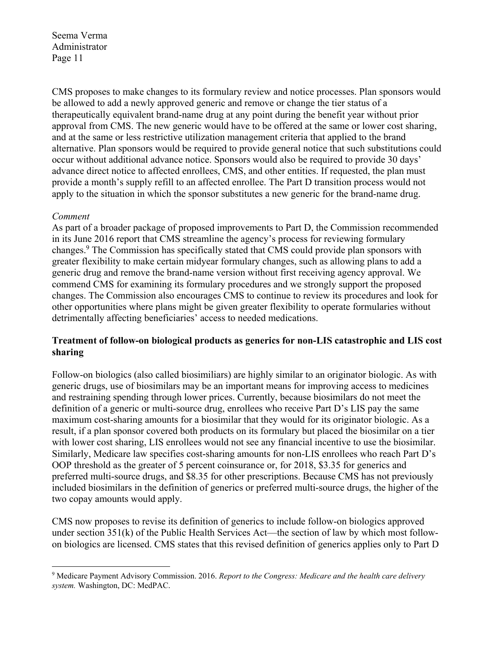CMS proposes to make changes to its formulary review and notice processes. Plan sponsors would be allowed to add a newly approved generic and remove or change the tier status of a therapeutically equivalent brand-name drug at any point during the benefit year without prior approval from CMS. The new generic would have to be offered at the same or lower cost sharing, and at the same or less restrictive utilization management criteria that applied to the brand alternative. Plan sponsors would be required to provide general notice that such substitutions could occur without additional advance notice. Sponsors would also be required to provide 30 days' advance direct notice to affected enrollees, CMS, and other entities. If requested, the plan must provide a month's supply refill to an affected enrollee. The Part D transition process would not apply to the situation in which the sponsor substitutes a new generic for the brand-name drug.

#### *Comment*

1

As part of a broader package of proposed improvements to Part D, the Commission recommended in its June 2016 report that CMS streamline the agency's process for reviewing formulary changes.<sup>9</sup> The Commission has specifically stated that CMS could provide plan sponsors with greater flexibility to make certain midyear formulary changes, such as allowing plans to add a generic drug and remove the brand-name version without first receiving agency approval. We commend CMS for examining its formulary procedures and we strongly support the proposed changes. The Commission also encourages CMS to continue to review its procedures and look for other opportunities where plans might be given greater flexibility to operate formularies without detrimentally affecting beneficiaries' access to needed medications.

# **Treatment of follow-on biological products as generics for non-LIS catastrophic and LIS cost sharing**

Follow-on biologics (also called biosimiliars) are highly similar to an originator biologic. As with generic drugs, use of biosimilars may be an important means for improving access to medicines and restraining spending through lower prices. Currently, because biosimilars do not meet the definition of a generic or multi-source drug, enrollees who receive Part D's LIS pay the same maximum cost-sharing amounts for a biosimilar that they would for its originator biologic. As a result, if a plan sponsor covered both products on its formulary but placed the biosimilar on a tier with lower cost sharing, LIS enrollees would not see any financial incentive to use the biosimilar. Similarly, Medicare law specifies cost-sharing amounts for non-LIS enrollees who reach Part D's OOP threshold as the greater of 5 percent coinsurance or, for 2018, \$3.35 for generics and preferred multi-source drugs, and \$8.35 for other prescriptions. Because CMS has not previously included biosimilars in the definition of generics or preferred multi-source drugs, the higher of the two copay amounts would apply.

CMS now proposes to revise its definition of generics to include follow-on biologics approved under section 351(k) of the Public Health Services Act—the section of law by which most followon biologics are licensed. CMS states that this revised definition of generics applies only to Part D

<sup>9</sup> Medicare Payment Advisory Commission. 2016. *Report to the Congress: Medicare and the health care delivery system.* Washington, DC: MedPAC.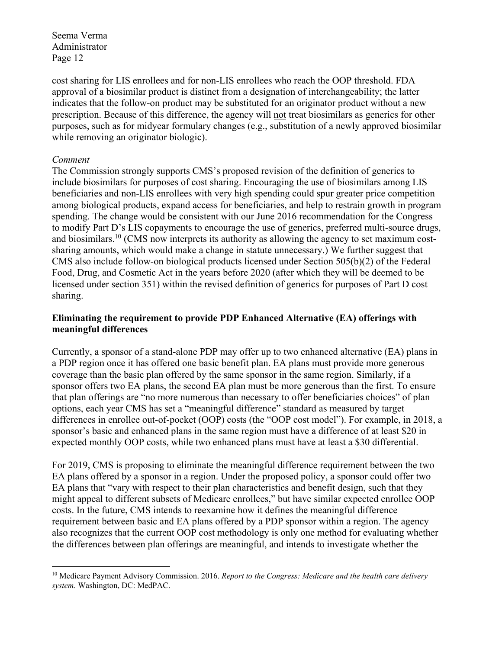cost sharing for LIS enrollees and for non-LIS enrollees who reach the OOP threshold. FDA approval of a biosimilar product is distinct from a designation of interchangeability; the latter indicates that the follow-on product may be substituted for an originator product without a new prescription. Because of this difference, the agency will not treat biosimilars as generics for other purposes, such as for midyear formulary changes (e.g., substitution of a newly approved biosimilar while removing an originator biologic).

#### *Comment*

1

The Commission strongly supports CMS's proposed revision of the definition of generics to include biosimilars for purposes of cost sharing. Encouraging the use of biosimilars among LIS beneficiaries and non-LIS enrollees with very high spending could spur greater price competition among biological products, expand access for beneficiaries, and help to restrain growth in program spending. The change would be consistent with our June 2016 recommendation for the Congress to modify Part D's LIS copayments to encourage the use of generics, preferred multi-source drugs, and biosimilars.<sup>10</sup> (CMS now interprets its authority as allowing the agency to set maximum costsharing amounts, which would make a change in statute unnecessary.) We further suggest that CMS also include follow-on biological products licensed under Section 505(b)(2) of the Federal Food, Drug, and Cosmetic Act in the years before 2020 (after which they will be deemed to be licensed under section 351) within the revised definition of generics for purposes of Part D cost sharing.

#### **Eliminating the requirement to provide PDP Enhanced Alternative (EA) offerings with meaningful differences**

Currently, a sponsor of a stand-alone PDP may offer up to two enhanced alternative (EA) plans in a PDP region once it has offered one basic benefit plan. EA plans must provide more generous coverage than the basic plan offered by the same sponsor in the same region. Similarly, if a sponsor offers two EA plans, the second EA plan must be more generous than the first. To ensure that plan offerings are "no more numerous than necessary to offer beneficiaries choices" of plan options, each year CMS has set a "meaningful difference" standard as measured by target differences in enrollee out-of-pocket (OOP) costs (the "OOP cost model"). For example, in 2018, a sponsor's basic and enhanced plans in the same region must have a difference of at least \$20 in expected monthly OOP costs, while two enhanced plans must have at least a \$30 differential.

For 2019, CMS is proposing to eliminate the meaningful difference requirement between the two EA plans offered by a sponsor in a region. Under the proposed policy, a sponsor could offer two EA plans that "vary with respect to their plan characteristics and benefit design, such that they might appeal to different subsets of Medicare enrollees," but have similar expected enrollee OOP costs. In the future, CMS intends to reexamine how it defines the meaningful difference requirement between basic and EA plans offered by a PDP sponsor within a region. The agency also recognizes that the current OOP cost methodology is only one method for evaluating whether the differences between plan offerings are meaningful, and intends to investigate whether the

<sup>10</sup> Medicare Payment Advisory Commission. 2016. *Report to the Congress: Medicare and the health care delivery system.* Washington, DC: MedPAC.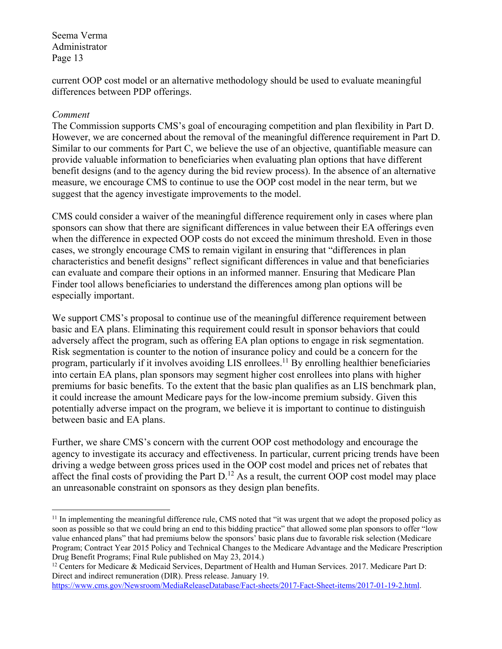current OOP cost model or an alternative methodology should be used to evaluate meaningful differences between PDP offerings.

#### *Comment*

1

The Commission supports CMS's goal of encouraging competition and plan flexibility in Part D. However, we are concerned about the removal of the meaningful difference requirement in Part D. Similar to our comments for Part C, we believe the use of an objective, quantifiable measure can provide valuable information to beneficiaries when evaluating plan options that have different benefit designs (and to the agency during the bid review process). In the absence of an alternative measure, we encourage CMS to continue to use the OOP cost model in the near term, but we suggest that the agency investigate improvements to the model.

CMS could consider a waiver of the meaningful difference requirement only in cases where plan sponsors can show that there are significant differences in value between their EA offerings even when the difference in expected OOP costs do not exceed the minimum threshold. Even in those cases, we strongly encourage CMS to remain vigilant in ensuring that "differences in plan characteristics and benefit designs" reflect significant differences in value and that beneficiaries can evaluate and compare their options in an informed manner. Ensuring that Medicare Plan Finder tool allows beneficiaries to understand the differences among plan options will be especially important.

We support CMS's proposal to continue use of the meaningful difference requirement between basic and EA plans. Eliminating this requirement could result in sponsor behaviors that could adversely affect the program, such as offering EA plan options to engage in risk segmentation. Risk segmentation is counter to the notion of insurance policy and could be a concern for the program, particularly if it involves avoiding LIS enrollees.<sup>11</sup> By enrolling healthier beneficiaries into certain EA plans, plan sponsors may segment higher cost enrollees into plans with higher premiums for basic benefits. To the extent that the basic plan qualifies as an LIS benchmark plan, it could increase the amount Medicare pays for the low-income premium subsidy. Given this potentially adverse impact on the program, we believe it is important to continue to distinguish between basic and EA plans.

Further, we share CMS's concern with the current OOP cost methodology and encourage the agency to investigate its accuracy and effectiveness. In particular, current pricing trends have been driving a wedge between gross prices used in the OOP cost model and prices net of rebates that affect the final costs of providing the Part  $D<sup>12</sup>$  As a result, the current OOP cost model may place an unreasonable constraint on sponsors as they design plan benefits.

 $<sup>11</sup>$  In implementing the meaningful difference rule, CMS noted that "it was urgent that we adopt the proposed policy as</sup> soon as possible so that we could bring an end to this bidding practice" that allowed some plan sponsors to offer "low value enhanced plans" that had premiums below the sponsors' basic plans due to favorable risk selection (Medicare Program; Contract Year 2015 Policy and Technical Changes to the Medicare Advantage and the Medicare Prescription Drug Benefit Programs; Final Rule published on May 23, 2014.)

<sup>&</sup>lt;sup>12</sup> Centers for Medicare & Medicaid Services, Department of Health and Human Services. 2017. Medicare Part D: Direct and indirect remuneration (DIR). Press release. January 19.

https://www.cms.gov/Newsroom/MediaReleaseDatabase/Fact-sheets/2017-Fact-Sheet-items/2017-01-19-2.html.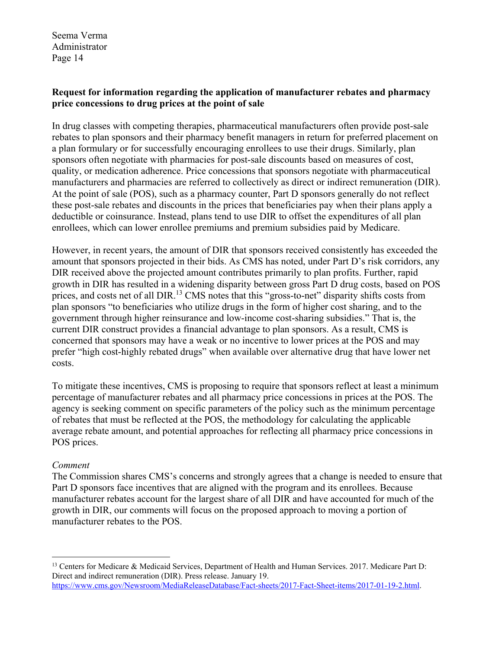#### **Request for information regarding the application of manufacturer rebates and pharmacy price concessions to drug prices at the point of sale**

In drug classes with competing therapies, pharmaceutical manufacturers often provide post-sale rebates to plan sponsors and their pharmacy benefit managers in return for preferred placement on a plan formulary or for successfully encouraging enrollees to use their drugs. Similarly, plan sponsors often negotiate with pharmacies for post-sale discounts based on measures of cost, quality, or medication adherence. Price concessions that sponsors negotiate with pharmaceutical manufacturers and pharmacies are referred to collectively as direct or indirect remuneration (DIR). At the point of sale (POS), such as a pharmacy counter, Part D sponsors generally do not reflect these post-sale rebates and discounts in the prices that beneficiaries pay when their plans apply a deductible or coinsurance. Instead, plans tend to use DIR to offset the expenditures of all plan enrollees, which can lower enrollee premiums and premium subsidies paid by Medicare.

However, in recent years, the amount of DIR that sponsors received consistently has exceeded the amount that sponsors projected in their bids. As CMS has noted, under Part D's risk corridors, any DIR received above the projected amount contributes primarily to plan profits. Further, rapid growth in DIR has resulted in a widening disparity between gross Part D drug costs, based on POS prices, and costs net of all DIR.<sup>13</sup> CMS notes that this "gross-to-net" disparity shifts costs from plan sponsors "to beneficiaries who utilize drugs in the form of higher cost sharing, and to the government through higher reinsurance and low-income cost-sharing subsidies." That is, the current DIR construct provides a financial advantage to plan sponsors. As a result, CMS is concerned that sponsors may have a weak or no incentive to lower prices at the POS and may prefer "high cost-highly rebated drugs" when available over alternative drug that have lower net costs.

To mitigate these incentives, CMS is proposing to require that sponsors reflect at least a minimum percentage of manufacturer rebates and all pharmacy price concessions in prices at the POS. The agency is seeking comment on specific parameters of the policy such as the minimum percentage of rebates that must be reflected at the POS, the methodology for calculating the applicable average rebate amount, and potential approaches for reflecting all pharmacy price concessions in POS prices.

# *Comment*

1

The Commission shares CMS's concerns and strongly agrees that a change is needed to ensure that Part D sponsors face incentives that are aligned with the program and its enrollees. Because manufacturer rebates account for the largest share of all DIR and have accounted for much of the growth in DIR, our comments will focus on the proposed approach to moving a portion of manufacturer rebates to the POS.

<sup>13</sup> Centers for Medicare & Medicaid Services, Department of Health and Human Services. 2017. Medicare Part D: Direct and indirect remuneration (DIR). Press release. January 19. https://www.cms.gov/Newsroom/MediaReleaseDatabase/Fact-sheets/2017-Fact-Sheet-items/2017-01-19-2.html.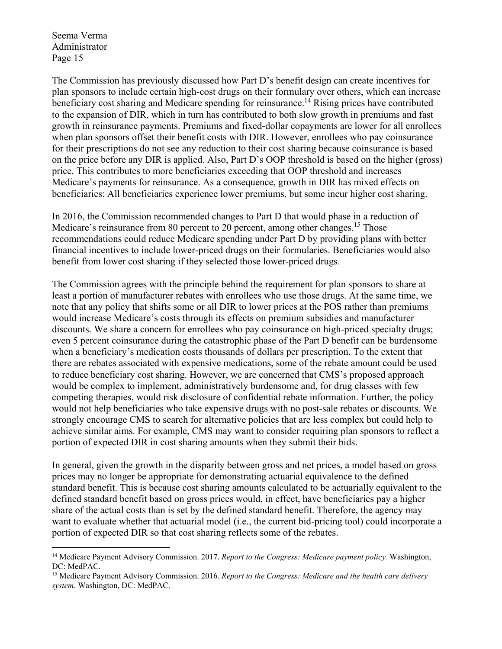<u>.</u>

The Commission has previously discussed how Part D's benefit design can create incentives for plan sponsors to include certain high-cost drugs on their formulary over others, which can increase beneficiary cost sharing and Medicare spending for reinsurance.<sup>14</sup> Rising prices have contributed to the expansion of DIR, which in turn has contributed to both slow growth in premiums and fast growth in reinsurance payments. Premiums and fixed-dollar copayments are lower for all enrollees when plan sponsors offset their benefit costs with DIR. However, enrollees who pay coinsurance for their prescriptions do not see any reduction to their cost sharing because coinsurance is based on the price before any DIR is applied. Also, Part D's OOP threshold is based on the higher (gross) price. This contributes to more beneficiaries exceeding that OOP threshold and increases Medicare's payments for reinsurance. As a consequence, growth in DIR has mixed effects on beneficiaries: All beneficiaries experience lower premiums, but some incur higher cost sharing.

In 2016, the Commission recommended changes to Part D that would phase in a reduction of Medicare's reinsurance from 80 percent to 20 percent, among other changes.<sup>15</sup> Those recommendations could reduce Medicare spending under Part D by providing plans with better financial incentives to include lower-priced drugs on their formularies. Beneficiaries would also benefit from lower cost sharing if they selected those lower-priced drugs.

The Commission agrees with the principle behind the requirement for plan sponsors to share at least a portion of manufacturer rebates with enrollees who use those drugs. At the same time, we note that any policy that shifts some or all DIR to lower prices at the POS rather than premiums would increase Medicare's costs through its effects on premium subsidies and manufacturer discounts. We share a concern for enrollees who pay coinsurance on high-priced specialty drugs; even 5 percent coinsurance during the catastrophic phase of the Part D benefit can be burdensome when a beneficiary's medication costs thousands of dollars per prescription. To the extent that there are rebates associated with expensive medications, some of the rebate amount could be used to reduce beneficiary cost sharing. However, we are concerned that CMS's proposed approach would be complex to implement, administratively burdensome and, for drug classes with few competing therapies, would risk disclosure of confidential rebate information. Further, the policy would not help beneficiaries who take expensive drugs with no post-sale rebates or discounts. We strongly encourage CMS to search for alternative policies that are less complex but could help to achieve similar aims. For example, CMS may want to consider requiring plan sponsors to reflect a portion of expected DIR in cost sharing amounts when they submit their bids.

In general, given the growth in the disparity between gross and net prices, a model based on gross prices may no longer be appropriate for demonstrating actuarial equivalence to the defined standard benefit. This is because cost sharing amounts calculated to be actuarially equivalent to the defined standard benefit based on gross prices would, in effect, have beneficiaries pay a higher share of the actual costs than is set by the defined standard benefit. Therefore, the agency may want to evaluate whether that actuarial model (i.e., the current bid-pricing tool) could incorporate a portion of expected DIR so that cost sharing reflects some of the rebates.

<sup>14</sup> Medicare Payment Advisory Commission. 2017. *Report to the Congress: Medicare payment policy.* Washington, DC: MedPAC.

<sup>15</sup> Medicare Payment Advisory Commission. 2016. *Report to the Congress: Medicare and the health care delivery system.* Washington, DC: MedPAC.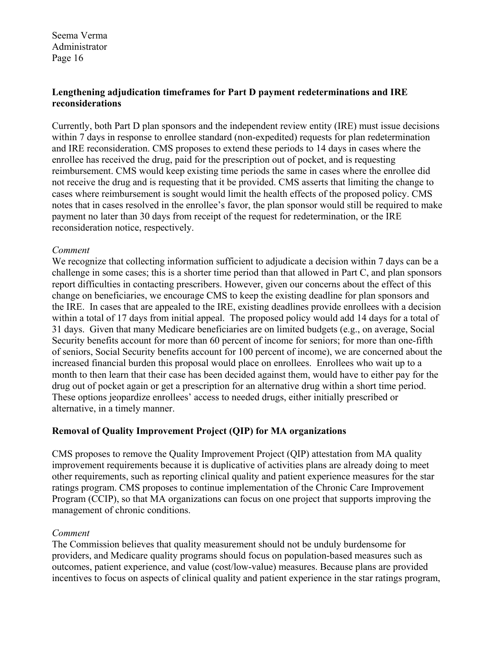#### **Lengthening adjudication timeframes for Part D payment redeterminations and IRE reconsiderations**

Currently, both Part D plan sponsors and the independent review entity (IRE) must issue decisions within 7 days in response to enrollee standard (non-expedited) requests for plan redetermination and IRE reconsideration. CMS proposes to extend these periods to 14 days in cases where the enrollee has received the drug, paid for the prescription out of pocket, and is requesting reimbursement. CMS would keep existing time periods the same in cases where the enrollee did not receive the drug and is requesting that it be provided. CMS asserts that limiting the change to cases where reimbursement is sought would limit the health effects of the proposed policy. CMS notes that in cases resolved in the enrollee's favor, the plan sponsor would still be required to make payment no later than 30 days from receipt of the request for redetermination, or the IRE reconsideration notice, respectively.

#### *Comment*

We recognize that collecting information sufficient to adjudicate a decision within 7 days can be a challenge in some cases; this is a shorter time period than that allowed in Part C, and plan sponsors report difficulties in contacting prescribers. However, given our concerns about the effect of this change on beneficiaries, we encourage CMS to keep the existing deadline for plan sponsors and the IRE. In cases that are appealed to the IRE, existing deadlines provide enrollees with a decision within a total of 17 days from initial appeal. The proposed policy would add 14 days for a total of 31 days. Given that many Medicare beneficiaries are on limited budgets (e.g., on average, Social Security benefits account for more than 60 percent of income for seniors; for more than one-fifth of seniors, Social Security benefits account for 100 percent of income), we are concerned about the increased financial burden this proposal would place on enrollees. Enrollees who wait up to a month to then learn that their case has been decided against them, would have to either pay for the drug out of pocket again or get a prescription for an alternative drug within a short time period. These options jeopardize enrollees' access to needed drugs, either initially prescribed or alternative, in a timely manner.

# **Removal of Quality Improvement Project (QIP) for MA organizations**

CMS proposes to remove the Quality Improvement Project (QIP) attestation from MA quality improvement requirements because it is duplicative of activities plans are already doing to meet other requirements, such as reporting clinical quality and patient experience measures for the star ratings program. CMS proposes to continue implementation of the Chronic Care Improvement Program (CCIP), so that MA organizations can focus on one project that supports improving the management of chronic conditions.

# *Comment*

The Commission believes that quality measurement should not be unduly burdensome for providers, and Medicare quality programs should focus on population-based measures such as outcomes, patient experience, and value (cost/low-value) measures. Because plans are provided incentives to focus on aspects of clinical quality and patient experience in the star ratings program,